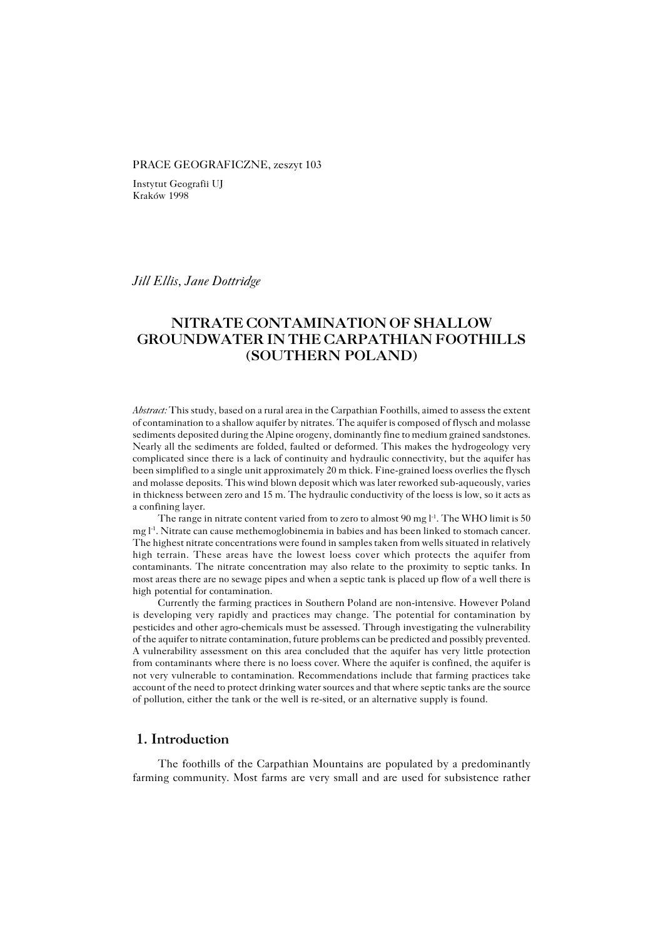#### PRACE GEOGRAFICZNE, zeszyt 103

Instytut Geografii UJ Kraków 1998

### *Jill Ellis, Jane Dottridge*

# **NITRATE CONTAMINATION OF SHALLOW GROUNDWATER IN THE CARPATHIAN FOOTHILLS (SOUTHERN POLAND)**

*Abstract:* This study, based on a rural area in the Carpathian Foothills, aimed to assess the extent of contamination to a shallow aquifer by nitrates. The aquifer is composed of flysch and molasse sediments deposited during the Alpine orogeny, dominantly fine to medium grained sandstones. Nearly all the sediments are folded, faulted or deformed. This makes the hydrogeology very complicated since there is a lack of continuity and hydraulic connectivity, but the aquifer has been simplified to a single unit approximately 20 m thick. Fine−grained loess overlies the flysch and molasse deposits. This wind blown deposit which was later reworked sub−aqueously, varies in thickness between zero and 15 m. The hydraulic conductivity of the loess is low, so it acts as a confining layer.

The range in nitrate content varied from to zero to almost 90 mg  $l<sup>-1</sup>$ . The WHO limit is 50 mg l<sup>-1</sup>. Nitrate can cause methemoglobinemia in babies and has been linked to stomach cancer. The highest nitrate concentrations were found in samples taken from wells situated in relatively high terrain. These areas have the lowest loess cover which protects the aquifer from contaminants. The nitrate concentration may also relate to the proximity to septic tanks. In most areas there are no sewage pipes and when a septic tank is placed up flow of a well there is high potential for contamination.

Currently the farming practices in Southern Poland are non−intensive. However Poland is developing very rapidly and practices may change. The potential for contamination by pesticides and other agro−chemicals must be assessed. Through investigating the vulnerability of the aquifer to nitrate contamination, future problems can be predicted and possibly prevented. A vulnerability assessment on this area concluded that the aquifer has very little protection from contaminants where there is no loess cover. Where the aquifer is confined, the aquifer is not very vulnerable to contamination. Recommendations include that farming practices take account of the need to protect drinking water sources and that where septic tanks are the source of pollution, either the tank or the well is re−sited, or an alternative supply is found.

# **1. Introduction**

The foothills of the Carpathian Mountains are populated by a predominantly farming community. Most farms are very small and are used for subsistence rather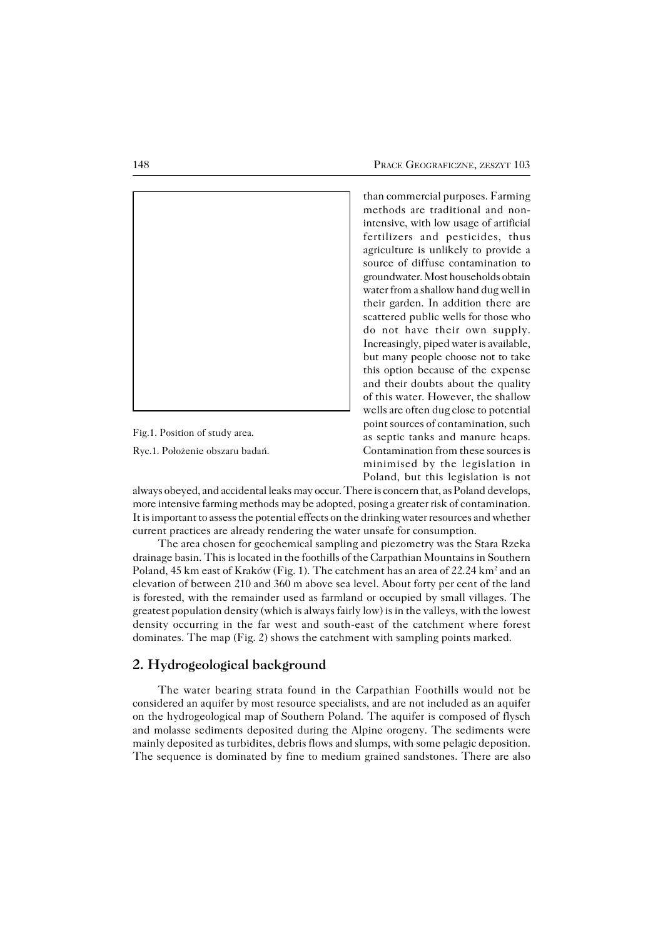

Fig.1. Position of study area.

Ryc.1. Położenie obszaru badań.

than commercial purposes. Farming methods are traditional and non− intensive, with low usage of artificial fertilizers and pesticides, thus agriculture is unlikely to provide a source of diffuse contamination to groundwater. Most households obtain water from a shallow hand dug well in their garden. In addition there are scattered public wells for those who do not have their own supply. Increasingly, piped water is available, but many people choose not to take this option because of the expense and their doubts about the quality of this water. However, the shallow wells are often dug close to potential point sources of contamination, such as septic tanks and manure heaps. Contamination from these sources is minimised by the legislation in Poland, but this legislation is not

always obeyed, and accidental leaks may occur. There is concern that, as Poland develops, more intensive farming methods may be adopted, posing a greater risk of contamination. It is important to assess the potential effects on the drinking water resources and whether current practices are already rendering the water unsafe for consumption.

The area chosen for geochemical sampling and piezometry was the Stara Rzeka drainage basin. This is located in the foothills of the Carpathian Mountains in Southern Poland, 45 km east of Kraków (Fig. 1). The catchment has an area of 22.24 km² and an elevation of between 210 and 360 m above sea level. About forty per cent of the land is forested, with the remainder used as farmland or occupied by small villages. The greatest population density (which is always fairly low) is in the valleys, with the lowest density occurring in the far west and south−east of the catchment where forest dominates. The map (Fig. 2) shows the catchment with sampling points marked.

## **2. Hydrogeological background**

The water bearing strata found in the Carpathian Foothills would not be considered an aquifer by most resource specialists, and are not included as an aquifer on the hydrogeological map of Southern Poland. The aquifer is composed of flysch and molasse sediments deposited during the Alpine orogeny. The sediments were mainly deposited as turbidites, debris flows and slumps, with some pelagic deposition. The sequence is dominated by fine to medium grained sandstones. There are also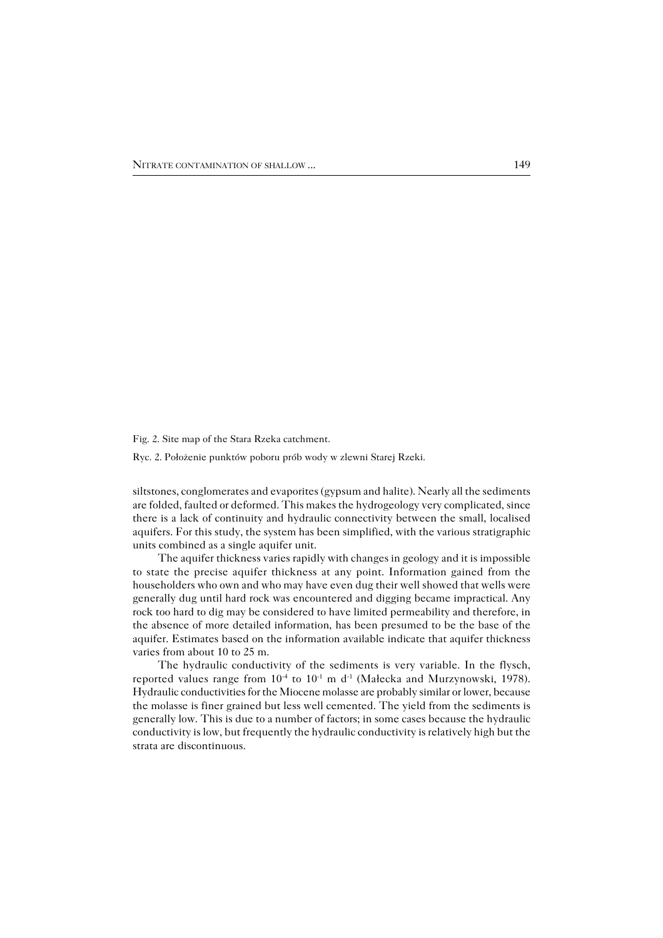Fig. 2. Site map of the Stara Rzeka catchment.

Ryc. 2. Położenie punktów poboru prób wody w zlewni Starej Rzeki.

siltstones, conglomerates and evaporites (gypsum and halite). Nearly all the sediments are folded, faulted or deformed. This makes the hydrogeology very complicated, since there is a lack of continuity and hydraulic connectivity between the small, localised aquifers. For this study, the system has been simplified, with the various stratigraphic units combined as a single aquifer unit.

The aquifer thickness varies rapidly with changes in geology and it is impossible to state the precise aquifer thickness at any point. Information gained from the householders who own and who may have even dug their well showed that wells were generally dug until hard rock was encountered and digging became impractical. Any rock too hard to dig may be considered to have limited permeability and therefore, in the absence of more detailed information, has been presumed to be the base of the aquifer. Estimates based on the information available indicate that aquifer thickness varies from about 10 to 25 m.

The hydraulic conductivity of the sediments is very variable. In the flysch, reported values range from  $10^{-4}$  to  $10^{-1}$  m d<sup>-1</sup> (Małecka and Murzynowski, 1978). Hydraulic conductivities for the Miocene molasse are probably similar or lower, because the molasse is finer grained but less well cemented. The yield from the sediments is generally low. This is due to a number of factors; in some cases because the hydraulic conductivity is low, but frequently the hydraulic conductivity is relatively high but the strata are discontinuous.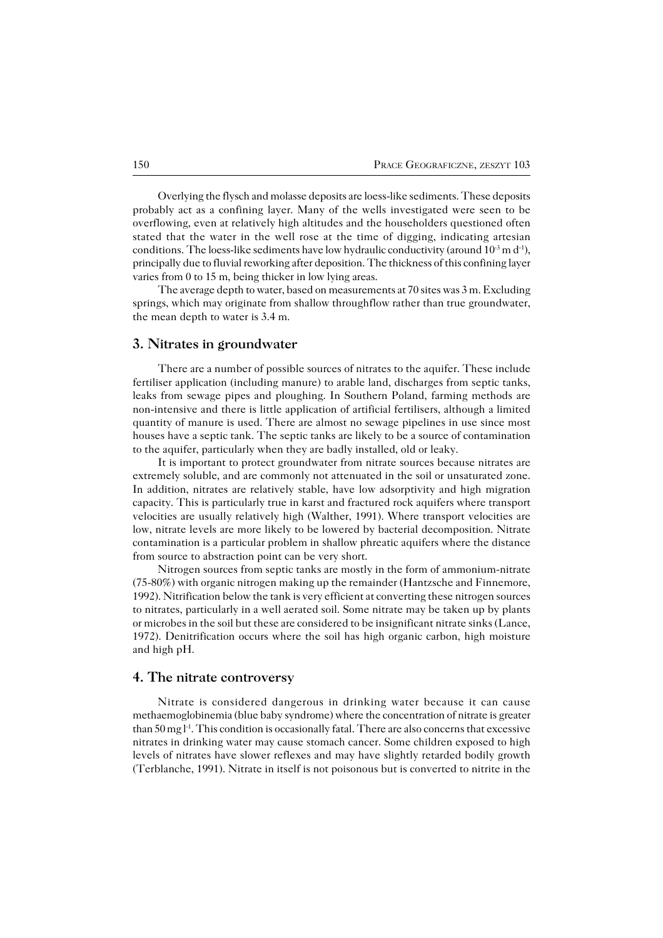Overlying the flysch and molasse deposits are loess−like sediments. These deposits probably act as a confining layer. Many of the wells investigated were seen to be overflowing, even at relatively high altitudes and the householders questioned often stated that the water in the well rose at the time of digging, indicating artesian conditions. The loess-like sediments have low hydraulic conductivity (around 10<sup>-3</sup> m d<sup>-1</sup>), principally due to fluvial reworking after deposition. The thickness of this confining layer varies from 0 to 15 m, being thicker in low lying areas.

The average depth to water, based on measurements at 70 sites was 3 m. Excluding springs, which may originate from shallow throughflow rather than true groundwater, the mean depth to water is 3.4 m.

### **3. Nitrates in groundwater**

There are a number of possible sources of nitrates to the aquifer. These include fertiliser application (including manure) to arable land, discharges from septic tanks, leaks from sewage pipes and ploughing. In Southern Poland, farming methods are non−intensive and there is little application of artificial fertilisers, although a limited quantity of manure is used. There are almost no sewage pipelines in use since most houses have a septic tank. The septic tanks are likely to be a source of contamination to the aquifer, particularly when they are badly installed, old or leaky.

It is important to protect groundwater from nitrate sources because nitrates are extremely soluble, and are commonly not attenuated in the soil or unsaturated zone. In addition, nitrates are relatively stable, have low adsorptivity and high migration capacity. This is particularly true in karst and fractured rock aquifers where transport velocities are usually relatively high (Walther, 1991). Where transport velocities are low, nitrate levels are more likely to be lowered by bacterial decomposition. Nitrate contamination is a particular problem in shallow phreatic aquifers where the distance from source to abstraction point can be very short.

Nitrogen sources from septic tanks are mostly in the form of ammonium−nitrate (75−80%) with organic nitrogen making up the remainder (Hantzsche and Finnemore, 1992). Nitrification below the tank is very efficient at converting these nitrogen sources to nitrates, particularly in a well aerated soil. Some nitrate may be taken up by plants or microbes in the soil but these are considered to be insignificant nitrate sinks (Lance, 1972). Denitrification occurs where the soil has high organic carbon, high moisture and high pH.

#### **4. The nitrate controversy**

Nitrate is considered dangerous in drinking water because it can cause methaemoglobinemia (blue baby syndrome) where the concentration of nitrate is greater than 50 mg l<sup>-1</sup>. This condition is occasionally fatal. There are also concerns that excessive nitrates in drinking water may cause stomach cancer. Some children exposed to high levels of nitrates have slower reflexes and may have slightly retarded bodily growth (Terblanche, 1991). Nitrate in itself is not poisonous but is converted to nitrite in the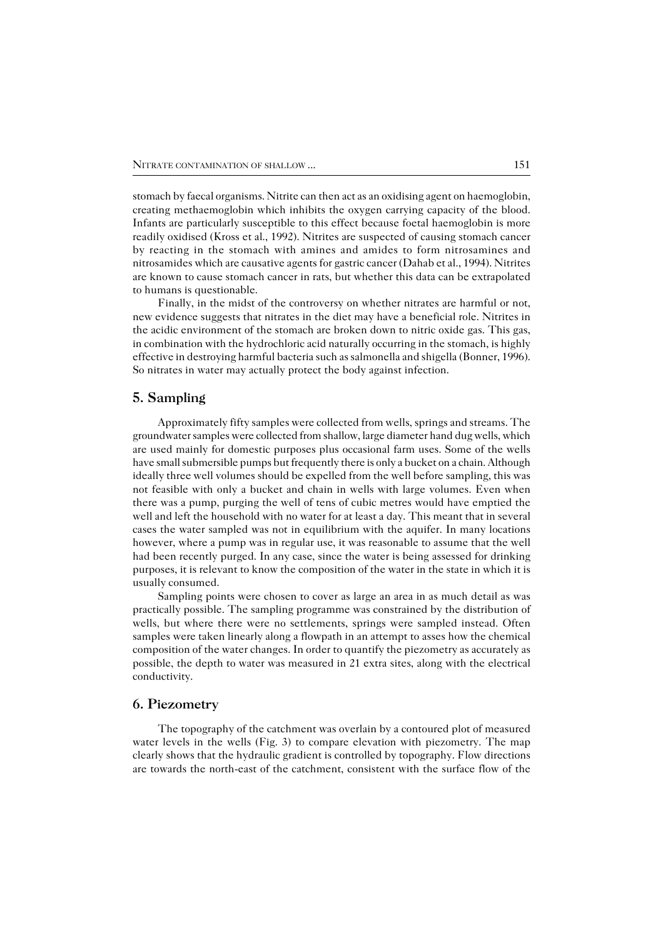stomach by faecal organisms. Nitrite can then act as an oxidising agent on haemoglobin, creating methaemoglobin which inhibits the oxygen carrying capacity of the blood. Infants are particularly susceptible to this effect because foetal haemoglobin is more readily oxidised (Kross et al., 1992). Nitrites are suspected of causing stomach cancer by reacting in the stomach with amines and amides to form nitrosamines and nitrosamides which are causative agents for gastric cancer (Dahab et al., 1994). Nitrites are known to cause stomach cancer in rats, but whether this data can be extrapolated to humans is questionable.

Finally, in the midst of the controversy on whether nitrates are harmful or not, new evidence suggests that nitrates in the diet may have a beneficial role. Nitrites in the acidic environment of the stomach are broken down to nitric oxide gas. This gas, in combination with the hydrochloric acid naturally occurring in the stomach, is highly effective in destroying harmful bacteria such as salmonella and shigella (Bonner, 1996). So nitrates in water may actually protect the body against infection.

# **5. Sampling**

Approximately fifty samples were collected from wells, springs and streams. The groundwater samples were collected from shallow, large diameter hand dug wells, which are used mainly for domestic purposes plus occasional farm uses. Some of the wells have small submersible pumps but frequently there is only a bucket on a chain. Although ideally three well volumes should be expelled from the well before sampling, this was not feasible with only a bucket and chain in wells with large volumes. Even when there was a pump, purging the well of tens of cubic metres would have emptied the well and left the household with no water for at least a day. This meant that in several cases the water sampled was not in equilibrium with the aquifer. In many locations however, where a pump was in regular use, it was reasonable to assume that the well had been recently purged. In any case, since the water is being assessed for drinking purposes, it is relevant to know the composition of the water in the state in which it is usually consumed.

Sampling points were chosen to cover as large an area in as much detail as was practically possible. The sampling programme was constrained by the distribution of wells, but where there were no settlements, springs were sampled instead. Often samples were taken linearly along a flowpath in an attempt to asses how the chemical composition of the water changes. In order to quantify the piezometry as accurately as possible, the depth to water was measured in 21 extra sites, along with the electrical conductivity.

## **6. Piezometry**

The topography of the catchment was overlain by a contoured plot of measured water levels in the wells (Fig. 3) to compare elevation with piezometry. The map clearly shows that the hydraulic gradient is controlled by topography. Flow directions are towards the north−east of the catchment, consistent with the surface flow of the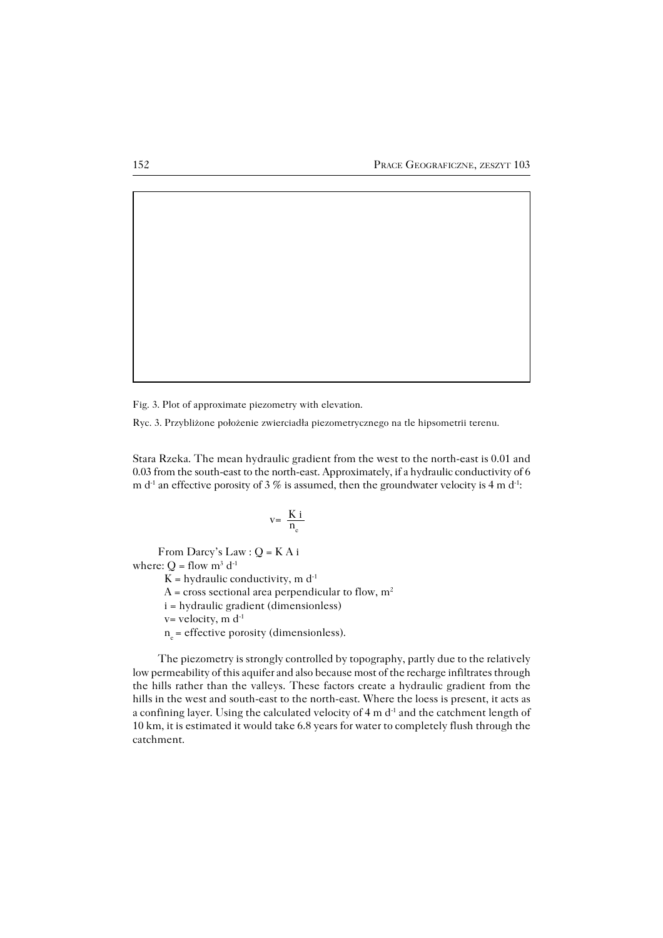Fig. 3. Plot of approximate piezometry with elevation.

Ryc. 3. Przybliżone położenie zwierciadła piezometrycznego na tle hipsometrii terenu.

Stara Rzeka. The mean hydraulic gradient from the west to the north−east is 0.01 and 0.03 from the south−east to the north−east. Approximately, if a hydraulic conductivity of 6 m d<sup>-1</sup> an effective porosity of 3 % is assumed, then the groundwater velocity is 4 m d<sup>-1</sup>:

$$
v{=}\ \frac{K\ i}{n_e}
$$

From Darcy's Law : Q = K A i where:  $Q =$  flow  $m^3 d^{-1}$ K = hydraulic conductivity, m  $d^{-1}$ A = cross sectional area perpendicular to flow,  $m^2$ i = hydraulic gradient (dimensionless)  $v=$  velocity, m  $d^{-1}$  $n_e$  = effective porosity (dimensionless).

The piezometry is strongly controlled by topography, partly due to the relatively low permeability of this aquifer and also because most of the recharge infiltrates through the hills rather than the valleys. These factors create a hydraulic gradient from the hills in the west and south−east to the north−east. Where the loess is present, it acts as a confining layer. Using the calculated velocity of 4 m d<sup>-1</sup> and the catchment length of 10 km, it is estimated it would take 6.8 years for water to completely flush through the catchment.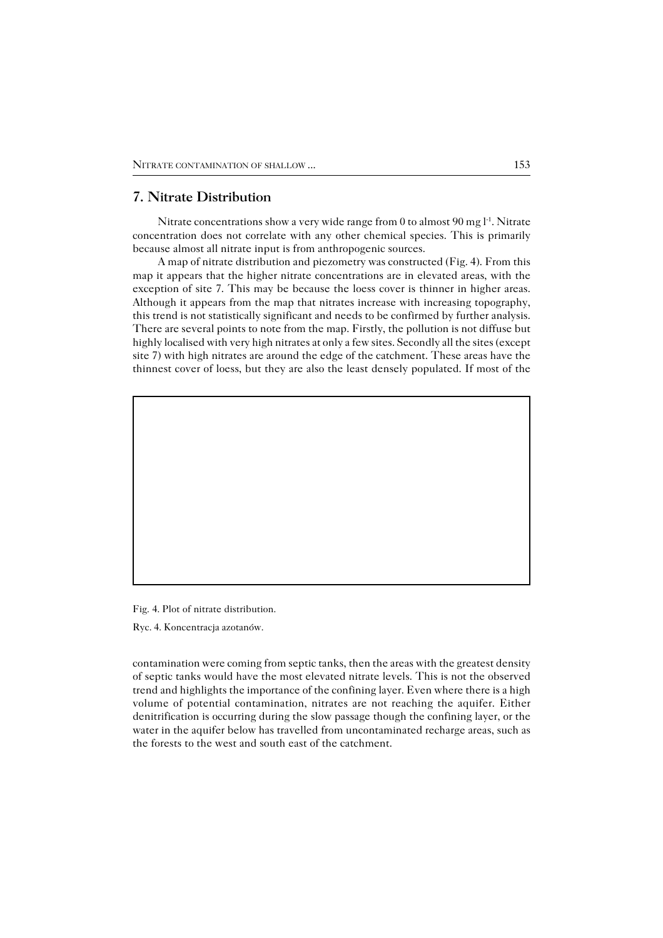# **7. Nitrate Distribution**

Nitrate concentrations show a very wide range from 0 to almost 90 mg l<sup>-1</sup>. Nitrate concentration does not correlate with any other chemical species. This is primarily because almost all nitrate input is from anthropogenic sources.

A map of nitrate distribution and piezometry was constructed (Fig. 4). From this map it appears that the higher nitrate concentrations are in elevated areas, with the exception of site 7. This may be because the loess cover is thinner in higher areas. Although it appears from the map that nitrates increase with increasing topography, this trend is not statistically significant and needs to be confirmed by further analysis. There are several points to note from the map. Firstly, the pollution is not diffuse but highly localised with very high nitrates at only a few sites. Secondly all the sites (except site 7) with high nitrates are around the edge of the catchment. These areas have the thinnest cover of loess, but they are also the least densely populated. If most of the

Fig. 4. Plot of nitrate distribution.

Ryc. 4. Koncentracja azotanów.

contamination were coming from septic tanks, then the areas with the greatest density of septic tanks would have the most elevated nitrate levels. This is not the observed trend and highlights the importance of the confining layer. Even where there is a high volume of potential contamination, nitrates are not reaching the aquifer. Either denitrification is occurring during the slow passage though the confining layer, or the water in the aquifer below has travelled from uncontaminated recharge areas, such as the forests to the west and south east of the catchment.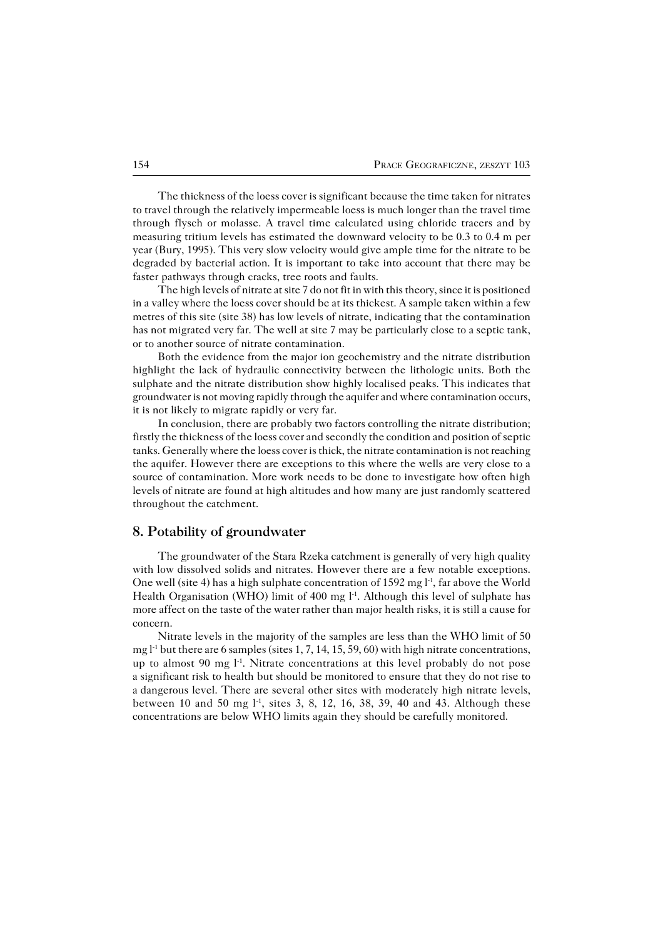The thickness of the loess cover is significant because the time taken for nitrates to travel through the relatively impermeable loess is much longer than the travel time through flysch or molasse. A travel time calculated using chloride tracers and by measuring tritium levels has estimated the downward velocity to be 0.3 to 0.4 m per year (Bury, 1995). This very slow velocity would give ample time for the nitrate to be degraded by bacterial action. It is important to take into account that there may be faster pathways through cracks, tree roots and faults.

The high levels of nitrate at site 7 do not fit in with this theory, since it is positioned in a valley where the loess cover should be at its thickest. A sample taken within a few metres of this site (site 38) has low levels of nitrate, indicating that the contamination has not migrated very far. The well at site 7 may be particularly close to a septic tank, or to another source of nitrate contamination.

Both the evidence from the major ion geochemistry and the nitrate distribution highlight the lack of hydraulic connectivity between the lithologic units. Both the sulphate and the nitrate distribution show highly localised peaks. This indicates that groundwater is not moving rapidly through the aquifer and where contamination occurs, it is not likely to migrate rapidly or very far.

In conclusion, there are probably two factors controlling the nitrate distribution; firstly the thickness of the loess cover and secondly the condition and position of septic tanks. Generally where the loess cover is thick, the nitrate contamination is not reaching the aquifer. However there are exceptions to this where the wells are very close to a source of contamination. More work needs to be done to investigate how often high levels of nitrate are found at high altitudes and how many are just randomly scattered throughout the catchment.

## **8. Potability of groundwater**

The groundwater of the Stara Rzeka catchment is generally of very high quality with low dissolved solids and nitrates. However there are a few notable exceptions. One well (site 4) has a high sulphate concentration of 1592 mg l−1, far above the World Health Organisation (WHO) limit of 400 mg l<sup>-1</sup>. Although this level of sulphate has more affect on the taste of the water rather than major health risks, it is still a cause for concern.

Nitrate levels in the majority of the samples are less than the WHO limit of 50 mg l<sup>-1</sup> but there are 6 samples (sites 1, 7, 14, 15, 59, 60) with high nitrate concentrations, up to almost 90 mg l<sup>-1</sup>. Nitrate concentrations at this level probably do not pose asignificant risk to health but should be monitored to ensure that they do not rise to a dangerous level. There are several other sites with moderately high nitrate levels, between 10 and 50 mg l−1, sites 3, 8, 12, 16, 38, 39, 40 and 43. Although these concentrations are below WHO limits again they should be carefully monitored.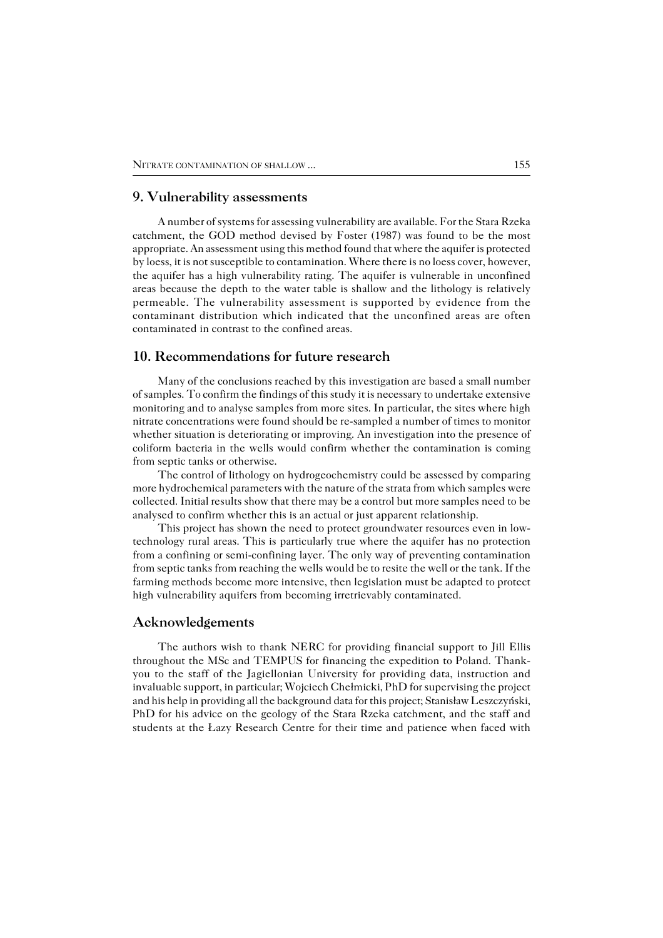### **9. Vulnerability assessments**

A number of systems for assessing vulnerability are available. For the Stara Rzeka catchment, the GOD method devised by Foster (1987) was found to be the most appropriate. An assessment using this method found that where the aquifer is protected by loess, it is not susceptible to contamination. Where there is no loess cover, however, the aquifer has a high vulnerability rating. The aquifer is vulnerable in unconfined areas because the depth to the water table is shallow and the lithology is relatively permeable. The vulnerability assessment is supported by evidence from the contaminant distribution which indicated that the unconfined areas are often contaminated in contrast to the confined areas.

# **10. Recommendations for future research**

Many of the conclusions reached by this investigation are based a small number of samples. To confirm the findings of this study it is necessary to undertake extensive monitoring and to analyse samples from more sites. In particular, the sites where high nitrate concentrations were found should be re−sampled a number of times to monitor whether situation is deteriorating or improving. An investigation into the presence of coliform bacteria in the wells would confirm whether the contamination is coming from septic tanks or otherwise.

The control of lithology on hydrogeochemistry could be assessed by comparing more hydrochemical parameters with the nature of the strata from which samples were collected. Initial results show that there may be a control but more samples need to be analysed to confirm whether this is an actual or just apparent relationship.

This project has shown the need to protect groundwater resources even in low− technology rural areas. This is particularly true where the aquifer has no protection from a confining or semi−confining layer. The only way of preventing contamination from septic tanks from reaching the wells would be to resite the well or the tank. If the farming methods become more intensive, then legislation must be adapted to protect high vulnerability aquifers from becoming irretrievably contaminated.

#### **Acknowledgements**

The authors wish to thank NERC for providing financial support to Jill Ellis throughout the MSc and TEMPUS for financing the expedition to Poland. Thank− you to the staff of the Jagiellonian University for providing data, instruction and invaluable support, in particular; Wojciech Chełmicki, PhD for supervising the project and his help in providing all the background data for this project; Stanisław Leszczyński, PhD for his advice on the geology of the Stara Rzeka catchment, and the staff and students at the Łazy Research Centre for their time and patience when faced with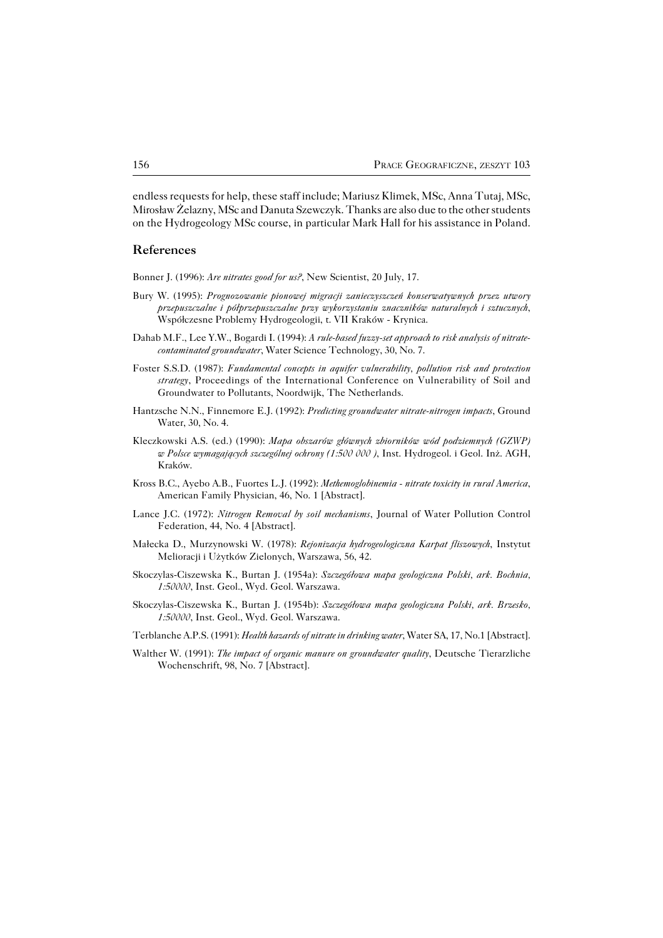endless requests for help, these staff include; Mariusz Klimek, MSc, Anna Tutaj, MSc, Mirosław Żelazny, MSc and Danuta Szewczyk. Thanks are also due to the other students on the Hydrogeology MSc course, in particular Mark Hall for his assistance in Poland.

# **References**

Bonner J. (1996): *Are nitrates good for us?*, New Scientist, 20 July, 17.

- Bury W. (1995): *Prognozowanie pionowej migracji zanieczyszczeń konserwatywnych przez utwory przepuszczalne i półprzepuszczalne przy wykorzystaniu znaczników naturalnych i sztucznych*, Współczesne Problemy Hydrogeologii, t. VII Kraków − Krynica.
- Dahab M.F., Lee Y.W., Bogardi I. (1994): *A rule−based fuzzy−set approach to risk analysis of nitrate− contaminated groundwater*, Water Science Technology, 30, No. 7.
- Foster S.S.D. (1987): *Fundamental concepts in aquifer vulnerability, pollution risk and protection strategy*, Proceedings of the International Conference on Vulnerability of Soil and Groundwater to Pollutants, Noordwijk, The Netherlands.
- Hantzsche N.N., Finnemore E.J. (1992): *Predicting groundwater nitrate−nitrogen impacts*, Ground Water, 30, No. 4.
- Kleczkowski A.S. (ed.) (1990): *Mapa obszarów głównych zbiorników wód podziemnych (GZWP) wPolsce wymagających szczególnej ochrony (1:500 000 )*, Inst. Hydrogeol. i Geol. Inż. AGH, Kraków.
- Kross B.C., Ayebo A.B., Fuortes L.J. (1992): *Methemoglobinemia − nitrate toxicity in rural America*, American Family Physician, 46, No. 1 [Abstract].
- Lance J.C. (1972): *Nitrogen Removal by soil mechanisms*, Journal of Water Pollution Control Federation, 44, No. 4 [Abstract].
- Małecka D., Murzynowski W. (1978): *Rejonizacja hydrogeologiczna Karpat fliszowych*, Instytut Melioracji i Użytków Zielonych, Warszawa, 56, 42.
- Skoczylas−Ciszewska K., Burtan J. (1954a): *Szczegółowa mapa geologiczna Polski, ark. Bochnia, 1:50000*, Inst. Geol., Wyd. Geol. Warszawa.
- Skoczylas−Ciszewska K., Burtan J. (1954b): *Szczegółowa mapa geologiczna Polski, ark. Brzesko, 1:50000*, Inst. Geol., Wyd. Geol. Warszawa.
- Terblanche A.P.S. (1991): *Health hazards of nitrate in drinking water*, Water SA, 17, No.1 [Abstract].
- Walther W. (1991): *The impact of organic manure on groundwater quality*, Deutsche Tierarzliche Wochenschrift, 98, No. 7 [Abstract].